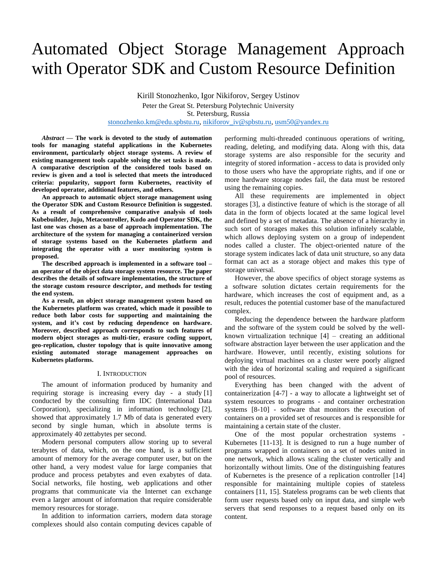# Automated Object Storage Management Approach with Operator SDK and Custom Resource Definition

Kirill Stonozhenko, Igor Nikiforov, Sergey Ustinov Peter the Great St. Petersburg Polytechnic University St. Petersburg, Russia [stonozhenko.km@edu.spbstu.ru,](mailto:stonozhenko.km@edu.spbstu.ru) [nikiforov\\_iv@spbstu.ru,](mailto:nikiforov_iv@spbstu.ru) [usm50@yandex.ru](mailto:usm50@yandex.ru)

*Abstract* **— The work is devoted to the study of automation tools for managing stateful applications in the Kubernetes environment, particularly object storage systems. A review of existing management tools capable solving the set tasks is made. A comparative description of the considered tools based on review is given and a tool is selected that meets the introduced criteria: popularity, support form Kubernetes, reactivity of developed operator, additional features, and others.**

**An approach to automatic object storage management using the Operator SDK and Custom Resource Definition is suggested. As a result of comprehensive comparative analysis of tools Kubebuilder, Juju, Metacontroller, Kudo and Operator SDK, the last one was chosen as a base of approach implementation. The architecture of the system for managing a containerized version of storage systems based on the Kubernetes platform and integrating the operator with a user monitoring system is proposed.**

**The described approach is implemented in a software tool – an operator of the object data storage system resource. The paper describes the details of software implementation, the structure of the storage custom resource descriptor, and methods for testing the end system.**

**As a result, an object storage management system based on the Kubernetes platform was created, which made it possible to reduce both labor costs for supporting and maintaining the system, and it's cost by reducing dependence on hardware. Moreover, described approach corresponds to such features of modern object storages as multi-tier, erasure coding support, geo-replication, cluster topology that is quite innovative among existing automated storage management approaches on Kubernetes platforms.**

# I. INTRODUCTION

The amount of information produced by humanity and requiring storage is increasing every day - a study [1] conducted by the consulting firm IDC (International Data Corporation), specializing in information technology [2], showed that approximately 1.7 Mb of data is generated every second by single human, which in absolute terms is approximately 40 zettabytes per second.

Modern personal computers allow storing up to several terabytes of data, which, on the one hand, is a sufficient amount of memory for the average computer user, but on the other hand, a very modest value for large companies that produce and process petabytes and even exabytes of data. Social networks, file hosting, web applications and other programs that communicate via the Internet can exchange even a larger amount of information that require considerable memory resources for storage.

In addition to information carriers, modern data storage complexes should also contain computing devices capable of performing multi-threaded continuous operations of writing, reading, deleting, and modifying data. Along with this, data storage systems are also responsible for the security and integrity of stored information - access to data is provided only to those users who have the appropriate rights, and if one or more hardware storage nodes fail, the data must be restored using the remaining copies.

All these requirements are implemented in object storages [3], a distinctive feature of which is the storage of all data in the form of objects located at the same logical level and defined by a set of metadata. The absence of a hierarchy in such sort of storages makes this solution infinitely scalable, which allows deploying system on a group of independent nodes called a cluster. The object-oriented nature of the storage system indicates lack of data unit structure, so any data format can act as a storage object and makes this type of storage universal.

However, the above specifics of object storage systems as a software solution dictates certain requirements for the hardware, which increases the cost of equipment and, as a result, reduces the potential customer base of the manufactured complex.

Reducing the dependence between the hardware platform and the software of the system could be solved by the wellknown virtualization technique [4] – creating an additional software abstraction layer between the user application and the hardware. However, until recently, existing solutions for deploying virtual machines on a cluster were poorly aligned with the idea of horizontal scaling and required a significant pool of resources.

Everything has been changed with the advent of containerization [4-7] - a way to allocate a lightweight set of system resources to programs - and container orchestration systems [8-10] - software that monitors the execution of containers on a provided set of resources and is responsible for maintaining a certain state of the cluster.

One of the most popular orchestration systems - Kubernetes [11-13]. It is designed to run a huge number of programs wrapped in containers on a set of nodes united in one network, which allows scaling the cluster vertically and horizontally without limits. One of the distinguishing features of Kubernetes is the presence of a replication controller [14] responsible for maintaining multiple copies of stateless containers [11, 15]. Stateless programs can be web clients that form user requests based only on input data, and simple web servers that send responses to a request based only on its content.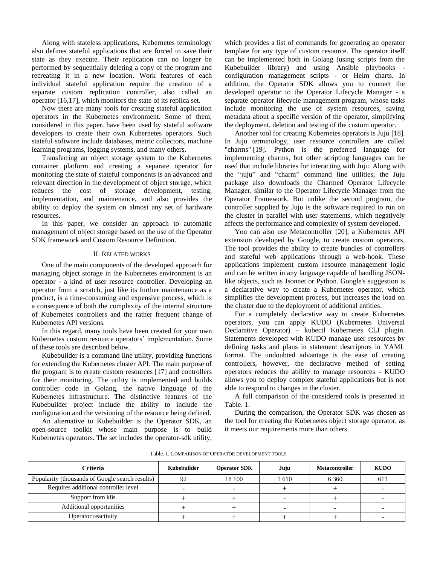Along with stateless applications, Kubernetes terminology also defines stateful applications that are forced to save their state as they execute. Their replication can no longer be performed by sequentially deleting a copy of the program and recreating it in a new location. Work features of each individual stateful application require the creation of a separate custom replication controller, also called an operator [16,17], which monitors the state of its replica set.

Now there are many tools for creating stateful application operators in the Kubernetes environment. Some of them, considered in this paper, have been used by stateful software developers to create their own Kubernetes operators. Such stateful software include databases, metric collectors, machine learning programs, logging systems, and many others.

Transferring an object storage system to the Kubernetes container platform and creating a separate operator for monitoring the state of stateful components is an advanced and relevant direction in the development of object storage, which reduces the cost of storage development, testing, implementation, and maintenance, and also provides the ability to deploy the system on almost any set of hardware resources.

In this paper, we consider an approach to automatic management of object storage based on the use of the Operator SDK framework and Custom Resource Definition.

# II. RELATED WORKS

One of the main components of the developed approach for managing object storage in the Kubernetes environment is an operator - a kind of user resource controller. Developing an operator from a scratch, just like its further maintenance as a product, is a time-consuming and expensive process, which is a consequence of both the complexity of the internal structure of Kubernetes controllers and the rather frequent change of Kubernetes API versions.

In this regard, many tools have been created for your own Kubernetes custom resource operators' implementation. Some of these tools are described below.

Kubebuilder is a command line utility, providing functions for extending the Kubernetes cluster API. The main purpose of the program is to create custom resources [17] and controllers for their monitoring. The utility is implemented and builds controller code in Golang, the native language of the Kubernetes infrastructure. The distinctive features of the Kubebuilder project include the ability to include the configuration and the versioning of the resource being defined.

An alternative to Kubebuilder is the Operator SDK, an open-source toolkit whose main purpose is to build Kubernetes operators. The set includes the operator-sdk utility, which provides a list of commands for generating an operator template for any type of custom resource. The operator itself can be implemented both in Golang (using scripts from the Kubebuilder library) and using Ansible playbooks configuration management scripts - or Helm charts. In addition, the Operator SDK allows you to connect the developed operator to the Operator Lifecycle Manager - a separate operator lifecycle management program, whose tasks include monitoring the use of system resources, saving metadata about a specific version of the operator, simplifying the deployment, deletion and testing of the custom operator.

Another tool for creating Kubernetes operators is Juju [18]. In Juju terminology, user resource controllers are called "charms" [19]. Python is the preferred language for implementing charms, but other scripting languages can be used that include libraries for interacting with Juju. Along with the "juju" and "charm" command line utilities, the Juju package also downloads the Charmed Operator Lifecycle Manager, similar to the Operator Lifecycle Manager from the Operator Framework. But unlike the second program, the controller supplied by Juju is the software required to run on the cluster in parallel with user statements, which negatively affects the performance and complexity of system developed.

You can also use Metacontroller [20], a Kubernetes API extension developed by Google, to create custom operators. The tool provides the ability to create bundles of controllers and stateful web applications through a web-hook. These applications implement custom resource management logic and can be written in any language capable of handling JSONlike objects, such as Jsonnet or Python. Google's suggestion is a declarative way to create a Kubernetes operator, which simplifies the development process, but increases the load on the cluster due to the deployment of additional entities.

For a completely declarative way to create Kubernetes operators, you can apply KUDO (Kubernetes Universal Declarative Operator) – kubectl Kubernetes CLI plugin. Statements developed with KUDO manage user resources by defining tasks and plans in statement descriptors in YAML format. The undoubted advantage is the ease of creating controllers, however, the declarative method of setting operators reduces the ability to manage resources - KUDO allows you to deploy complex stateful applications but is not able to respond to changes in the cluster.

A full comparison of the considered tools is presented in Table. 1.

During the comparison, the Operator SDK was chosen as the tool for creating the Kubernetes object storage operator, as it meets our requirements more than others.

| <b>Criteria</b>                                 | Kubebuilder | <b>Operator SDK</b> | Juju | <b>Metacontroller</b> | <b>KUDO</b> |
|-------------------------------------------------|-------------|---------------------|------|-----------------------|-------------|
| Popularity (thousands of Google search results) | 92          | 18 100              | 1610 | 6 3 6 0               | 611         |
| Requires additional controller level            |             |                     |      |                       |             |
| Support from k8s                                |             |                     |      |                       |             |
| Additional opportunities                        |             |                     |      |                       |             |
| Operator reactivity                             |             |                     |      |                       |             |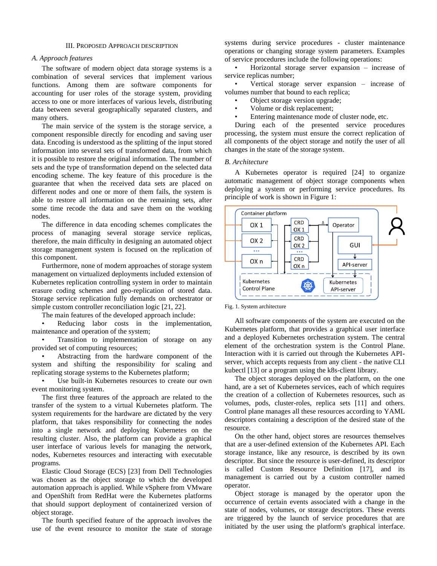# III. PROPOSED APPROACH DESCRIPTION

# *A. Approach features*

The software of modern object data storage systems is a combination of several services that implement various functions. Among them are software components for accounting for user roles of the storage system, providing access to one or more interfaces of various levels, distributing data between several geographically separated clusters, and many others.

The main service of the system is the storage service, a component responsible directly for encoding and saving user data. Encoding is understood as the splitting of the input stored information into several sets of transformed data, from which it is possible to restore the original information. The number of sets and the type of transformation depend on the selected data encoding scheme. The key feature of this procedure is the guarantee that when the received data sets are placed on different nodes and one or more of them fails, the system is able to restore all information on the remaining sets, after some time recode the data and save them on the working nodes.

The difference in data encoding schemes complicates the process of managing several storage service replicas, therefore, the main difficulty in designing an automated object storage management system is focused on the replication of this component.

Furthermore, none of modern approaches of storage system management on virtualized deployments included extension of Kubernetes replication controlling system in order to maintain erasure coding schemes and geo-replication of stored data. Storage service replication fully demands on orchestrator or simple custom controller reconciliation logic [21, 22].

The main features of the developed approach include:

Reducing labor costs in the implementation, maintenance and operation of the system;

Transition to implementation of storage on any provided set of computing resources;

• Abstracting from the hardware component of the system and shifting the responsibility for scaling and replicating storage systems to the Kubernetes platform;

Use built-in Kubernetes resources to create our own event monitoring system.

The first three features of the approach are related to the transfer of the system to a virtual Kubernetes platform. The system requirements for the hardware are dictated by the very platform, that takes responsibility for connecting the nodes into a single network and deploying Kubernetes on the resulting cluster. Also, the platform can provide a graphical user interface of various levels for managing the network, nodes, Kubernetes resources and interacting with executable programs.

Elastic Cloud Storage (ECS) [23] from Dell Technologies was chosen as the object storage to which the developed automation approach is applied. While vSphere from VMware and OpenShift from RedHat were the Kubernetes platforms that should support deployment of containerized version of object storage.

The fourth specified feature of the approach involves the use of the event resource to monitor the state of storage

systems during service procedures - cluster maintenance operations or changing storage system parameters. Examples of service procedures include the following operations:

Horizontal storage server expansion  $-$  increase of service replicas number;

Vertical storage server expansion – increase of volumes number that bound to each replica;

- Object storage version upgrade;
- Volume or disk replacement;
- Entering maintenance mode of cluster node, etc.

During each of the presented service procedures processing, the system must ensure the correct replication of all components of the object storage and notify the user of all changes in the state of the storage system.

### *B. Architecture*

A Kubernetes operator is required [24] to organize automatic management of object storage components when deploying a system or performing service procedures. Its principle of work is shown in Figure 1:



Fig. 1. System architecture

All software components of the system are executed on the Kubernetes platform, that provides a graphical user interface and a deployed Kubernetes orchestration system. The central element of the orchestration system is the Control Plane. Interaction with it is carried out through the Kubernetes APIserver, which accepts requests from any client - the native CLI kubectl [13] or a program using the k8s-client library.

The object storages deployed on the platform, on the one hand, are a set of Kubernetes services, each of which requires the creation of a collection of Kubernetes resources, such as volumes, pods, cluster-roles, replica sets [11] and others. Control plane manages all these resources according to YAML descriptors containing a description of the desired state of the resource.

On the other hand, object stores are resources themselves that are a user-defined extension of the Kubernetes API. Each storage instance, like any resource, is described by its own descriptor. But since the resource is user-defined, its descriptor is called Custom Resource Definition [17], and its management is carried out by a custom controller named operator.

Object storage is managed by the operator upon the occurrence of certain events associated with a change in the state of nodes, volumes, or storage descriptors. These events are triggered by the launch of service procedures that are initiated by the user using the platform's graphical interface.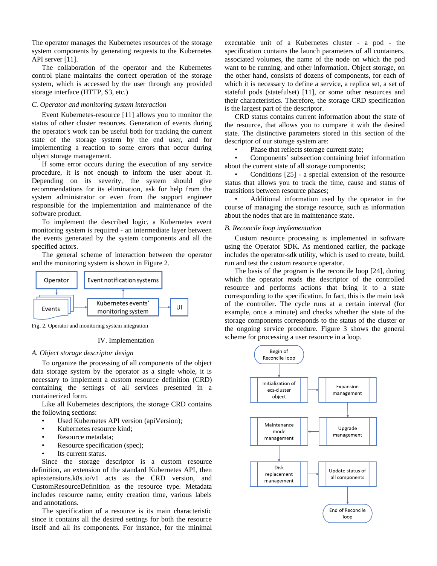The operator manages the Kubernetes resources of the storage system components by generating requests to the Kubernetes API server [11].

The collaboration of the operator and the Kubernetes control plane maintains the correct operation of the storage system, which is accessed by the user through any provided storage interface (HTTP, S3, etc.)

# *C. Operator and monitoring system interaction*

Event Kubernetes-resource [11] allows you to monitor the status of other cluster resources. Generation of events during the operator's work can be useful both for tracking the current state of the storage system by the end user, and for implementing a reaction to some errors that occur during object storage management.

If some error occurs during the execution of any service procedure, it is not enough to inform the user about it. Depending on its severity, the system should give recommendations for its elimination, ask for help from the system administrator or even from the support engineer responsible for the implementation and maintenance of the software product.

To implement the described logic, a Kubernetes event monitoring system is required - an intermediate layer between the events generated by the system components and all the specified actors.

The general scheme of interaction between the operator and the monitoring system is shown in Figure 2.



Fig. 2. Operator and monitoring system integration

# IV. Implementation

# *A. Object storage descriptor design*

To organize the processing of all components of the object data storage system by the operator as a single whole, it is necessary to implement a custom resource definition (CRD) containing the settings of all services presented in a containerized form.

Like all Kubernetes descriptors, the storage CRD contains the following sections:

- Used Kubernetes API version (apiVersion);
- Kubernetes resource kind;
- Resource metadata;
- Resource specification (spec);
- Its current status.

Since the storage descriptor is a custom resource definition, an extension of the standard Kubernetes API, then apiextensions.k8s.io/v1 acts as the CRD version, and CustomResourceDefinition as the resource type. Metadata includes resource name, entity creation time, various labels and annotations.

The specification of a resource is its main characteristic since it contains all the desired settings for both the resource itself and all its components. For instance, for the minimal executable unit of a Kubernetes cluster - a pod - the specification contains the launch parameters of all containers, associated volumes, the name of the node on which the pod want to be running, and other information. Object storage, on the other hand, consists of dozens of components, for each of which it is necessary to define a service, a replica set, a set of stateful pods (statefulset) [11], or some other resources and their characteristics. Therefore, the storage CRD specification is the largest part of the descriptor.

CRD status contains current information about the state of the resource, that allows you to compare it with the desired state. The distinctive parameters stored in this section of the descriptor of our storage system are:

Phase that reflects storage current state;

• Components' subsection containing brief information about the current state of all storage components;

Conditions  $[25]$  - a special extension of the resource status that allows you to track the time, cause and status of transitions between resource phases;

• Additional information used by the operator in the course of managing the storage resource, such as information about the nodes that are in maintenance state.

# *B. Reconcile loop implementation*

Custom resource processing is implemented in software using the Operator SDK. As mentioned earlier, the package includes the operator-sdk utility, which is used to create, build, run and test the custom resource operator.

The basis of the program is the reconcile loop [24], during which the operator reads the descriptor of the controlled resource and performs actions that bring it to a state corresponding to the specification. In fact, this is the main task of the controller. The cycle runs at a certain interval (for example, once a minute) and checks whether the state of the storage components corresponds to the status of the cluster or the ongoing service procedure. Figure 3 shows the general scheme for processing a user resource in a loop.

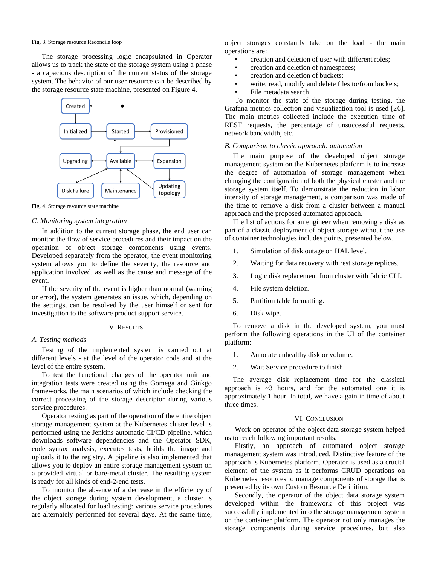#### Fig. 3. Storage resource Reconcile loop

The storage processing logic encapsulated in Operator allows us to track the state of the storage system using a phase - a capacious description of the current status of the storage system. The behavior of our user resource can be described by the storage resource state machine, presented on Figure 4.



Fig. 4. Storage resource state machine

## *C. Monitoring system integration*

In addition to the current storage phase, the end user can monitor the flow of service procedures and their impact on the operation of object storage components using events. Developed separately from the operator, the event monitoring system allows you to define the severity, the resource and application involved, as well as the cause and message of the event.

If the severity of the event is higher than normal (warning or error), the system generates an issue, which, depending on the settings, can be resolved by the user himself or sent for investigation to the software product support service.

#### V. RESULTS

# *A. Testing methods*

Testing of the implemented system is carried out at different levels - at the level of the operator code and at the level of the entire system.

To test the functional changes of the operator unit and integration tests were created using the Gomega and Ginkgo frameworks, the main scenarios of which include checking the correct processing of the storage descriptor during various service procedures.

Operator testing as part of the operation of the entire object storage management system at the Kubernetes cluster level is performed using the Jenkins automatic CI/CD pipeline, which downloads software dependencies and the Operator SDK, code syntax analysis, executes tests, builds the image and uploads it to the registry. A pipeline is also implemented that allows you to deploy an entire storage management system on a provided virtual or bare-metal cluster. The resulting system is ready for all kinds of end-2-end tests.

To monitor the absence of a decrease in the efficiency of the object storage during system development, a cluster is regularly allocated for load testing: various service procedures are alternately performed for several days. At the same time,

object storages constantly take on the load - the main operations are:

- creation and deletion of user with different roles;
- creation and deletion of namespaces;
- creation and deletion of buckets;
- write, read, modify and delete files to/from buckets;
- File metadata search.

To monitor the state of the storage during testing, the Grafana metrics collection and visualization tool is used [26]. The main metrics collected include the execution time of REST requests, the percentage of unsuccessful requests, network bandwidth, etc.

## *B. Comparison to classic approach: automation*

The main purpose of the developed object storage management system on the Kubernetes platform is to increase the degree of automation of storage management when changing the configuration of both the physical cluster and the storage system itself. To demonstrate the reduction in labor intensity of storage management, a comparison was made of the time to remove a disk from a cluster between a manual approach and the proposed automated approach.

The list of actions for an engineer when removing a disk as part of a classic deployment of object storage without the use of container technologies includes points, presented below.

- 1. Simulation of disk outage on HAL level.
- 2. Waiting for data recovery with rest storage replicas.
- 3. Logic disk replacement from cluster with fabric CLI.
- 4. File system deletion.
- 5. Partition table formatting.
- 6. Disk wipe.

To remove a disk in the developed system, you must perform the following operations in the UI of the container platform:

- 1. Annotate unhealthy disk or volume.
- 2. Wait Service procedure to finish.

The average disk replacement time for the classical approach is  $\sim$ 3 hours, and for the automated one it is approximately 1 hour. In total, we have a gain in time of about three times.

### VI. CONCLUSION

Work on operator of the object data storage system helped us to reach following important results.

Firstly, an approach of automated object storage management system was introduced. Distinctive feature of the approach is Kubernetes platform. Operator is used as a crucial element of the system as it performs CRUD operations on Kubernetes resources to manage components of storage that is presented by its own Custom Resource Definition.

Secondly, the operator of the object data storage system developed within the framework of this project was successfully implemented into the storage management system on the container platform. The operator not only manages the storage components during service procedures, but also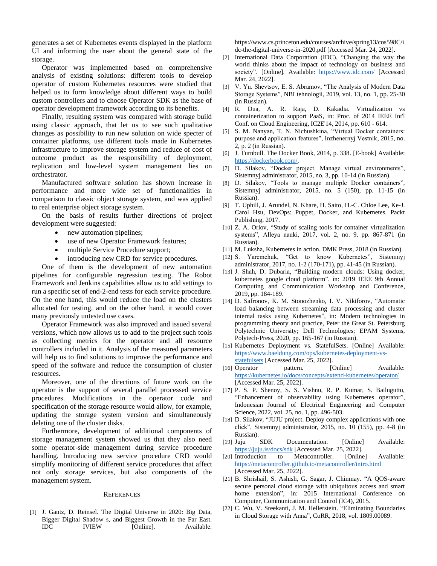generates a set of Kubernetes events displayed in the platform UI and informing the user about the general state of the storage.

Operator was implemented based on comprehensive analysis of existing solutions: different tools to develop operator of custom Kubernetes resources were studied that helped us to form knowledge about different ways to build custom controllers and to choose Operator SDK as the base of operator development framework according to its benefits.

Finally, resulting system was compared with storage build using classic approach, that let us to see such qualitative changes as possibility to run new solution on wide specter of container platforms, use different tools made in Kubernetes infrastructure to improve storage system and reduce of cost of outcome product as the responsibility of deployment, replication and low-level system management lies on orchestrator.

Manufactured software solution has shown increase in performance and more wide set of functionalities in comparison to classic object storage system, and was applied to real enterprise object storage system.

On the basis of results further directions of project development were suggested:

- new automation pipelines;
- use of new Operator Framework features;
- multiple Service Procedure support;
- introducing new CRD for service procedures.

One of them is the development of new automation pipelines for configurable regression testing. The Robot Framework and Jenkins capabilities allow us to add settings to run a specific set of end-2-end tests for each service procedure. On the one hand, this would reduce the load on the clusters allocated for testing, and on the other hand, it would cover many previously untested use cases.

Operator Framework was also improved and issued several versions, which now allows us to add to the project such tools as collecting metrics for the operator and all resource controllers included in it. Analysis of the measured parameters will help us to find solutions to improve the performance and speed of the software and reduce the consumption of cluster resources.

Moreover, one of the directions of future work on the operator is the support of several parallel processed service procedures. Modifications in the operator code and specification of the storage resource would allow, for example, updating the storage system version and simultaneously deleting one of the cluster disks.

Furthermore, development of additional components of storage management system showed us that they also need some operator-side management during service procedure handling. Introducing new service procedure CRD would simplify monitoring of different service procedures that affect not only storage services, but also components of the management system.

## **REFERENCES**

[1] J. Gantz, D. Reinsel. The Digital Universe in 2020: Big Data, Bigger Digital Shadow s, and Biggest Growth in the Far East. IDC IVIEW [Online]. Available: [https://www.cs.princeton.edu/courses/archive/spring13/cos598C/i](https://www.cs.princeton.edu/courses/archive/spring13/cos598C/idc-the-digital-universe-in-2020.pdf) [dc-the-digital-universe-in-2020.pdf](https://www.cs.princeton.edu/courses/archive/spring13/cos598C/idc-the-digital-universe-in-2020.pdf) [Accessed Mar. 24, 2022].

- [2] International Data Corporation (IDC), "Changing the way the world thinks about the impact of technology on business and society". [Online]. Available: <https://www.idc.com/> [Accessed] Mar. 24, 2022].
- [3] V. Yu. Shevtsov, E. S. Abramov, "The Analysis of Modern Data Storage Systems", NBI tehnologii, 2019, vol. 13, no. 1, pp. 25-30 (in Russian).
- [4] R. Dua, A. R. Raja, D. Kakadia. Virtualization vs containerization to support PaaS, in: Proc. of 2014 IEEE Int'l Conf. on Cloud Engineering, IC2E'14, 2014, pp. 610 - 614.
- [5] S. M. Nanyan, T. N. Nichushkina, "Virtual Docker containers: purpose and application features", Inzhenernyj Vestnik, 2015, no. 2, p. 2 (in Russian).
- [6] J. Turnbull. The Docker Book, 2014, p. 338. [E-book] Available: [https://dockerbook.com/.](https://dockerbook.com/)
- [7] D. Silakov, "Docker project. Manage virtual environments", Sistemnyj administrator, 2015, no. 3, pp. 10-14 (in Russian).
- [8] D. Silakov, "Tools to manage multiple Docker containers", Sistemnyj administrator, 2015, no. 5 (150), pp. 11-15 (in Russian).
- [9] T. Uphill, J. Arundel, N. Khare, H. Saito, H.-C. Chloe Lee, Ke-J. Carol Hsu, DevOps: Puppet, Docker, and Kubernetes. Packt Publishing, 2017.
- [10] Z. A. Orlov, "Study of scaling tools for container virtualization systems", Alleya nauki, 2017, vol. 2, no. 9, pp. 867-871 (in Russian).
- [11] M. Luksha, Kubernetes in action. DMK Press, 2018 (in Russian).
- [12] S. Yaremchuk, "Get to know Kubernetes", Sistemnyj administrator, 2017, no. 1-2 (170-171), pp. 41-45 (in Russian).
- [13] J. Shah, D. Dubaria, "Building modern clouds: Using docker, kubernetes google cloud platform", in: 2019 IEEE 9th Annual Computing and Communication Workshop and Conference, 2019, pp. 184-189.
- [14] D. Safronov, K. M. Stonozhenko, I. V. Nikiforov, "Automatic load balancing between streaming data processing and cluster internal tasks using Kubernetes", in: Modern technologies in programming theory and practice, Peter the Great St. Petersburg Polytechnic University; Dell Technologies; EPAM Systems, Polytech-Press, 2020, pp. 165-167 (in Russian).
- [15] Kubernetes Deployment vs. StatefulSets. [Online] Available: [https://www.baeldung.com/ops/kubernetes-deployment-vs](https://www.baeldung.com/ops/kubernetes-deployment-vs-statefulsets)[statefulsets](https://www.baeldung.com/ops/kubernetes-deployment-vs-statefulsets) [Accessed Mar. 25, 2022].
- [16] Operator pattern. [Online] Available: <https://kubernetes.io/docs/concepts/extend-kubernetes/operator/> [Accessed Mar. 25, 2022].
- [17] P. S. P. Shenoy, S. S. Vishnu, R. P. Kumar, S. Bailuguttu, "Enhancement of observability using Kubernetes operator", Indonesian Journal of Electrical Engineering and Computer Science, 2022, vol. 25, no. 1, pp. 496-503.
- [18] D. Silakov, "JUJU project. Deploy complex applications with one click", Sistemnyj administrator, 2015, no. 10 (155), pp. 4-8 (in Russian).
- [19] Juju SDK Documentation. [Online] Available: <https://juju.is/docs/sdk> [Accessed Mar. 25, 2022].
- [20] Introduction to Metacontroller. [Online] Available: <https://metacontroller.github.io/metacontroller/intro.html> [Accessed Mar. 25, 2022].
- [21] B. Shrishail, S. Ashish, G. Sagar, J. Chinmay. "A QOS-aware secure personal cloud storage with ubiquitous access and smart home extension", in: 2015 International Conference on Computer, Communication and Control (IC4), 2015.
- [22] C. Wu, V. Sreekanti, J. M. Hellerstein. "Eliminating Boundaries in Cloud Storage with Anna", CoRR, 2018, vol. 1809.00089.